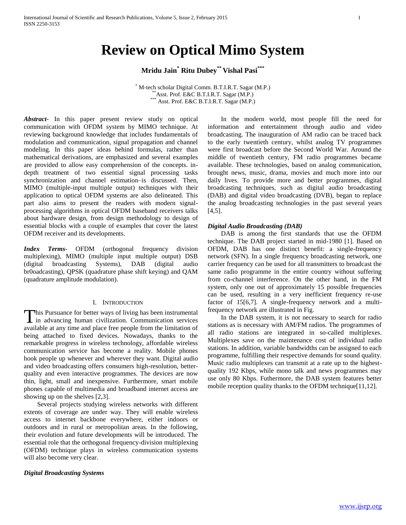# **Review on Optical Mimo System**

**Mridu Jain\* Ritu Dubey\*\* Vishal Pasi\*\*\***

\* M-tech scholar Digital Comm. B.T.I.R.T. Sagar (M.P.)  $*$ \*\*Asst. Prof. E&C B.T.I.R.T. Sagar (M.P.) Asst. Prof. E&C B.T.I.R.T. Sagar (M.P.)

*Abstract***-** In this paper present review study on optical communication with OFDM system by MIMO technique. At reviewing background knowledge that includes fundamentals of modulation and communication, signal propagation and channel modeling. In this paper ideas behind formulas, rather than mathematical derivations, are emphasized and several examples are provided to allow easy comprehension of the concepts. indepth treatment of two essential signal processing tasks synchronization and channel estimation–is discussed. Then, MIMO (multiple-input multiple output) techniques with their application to optical OFDM systems are also delineated. This part also aims to present the readers with modern signalprocessing algorithms in optical OFDM baseband receivers talks about hardware design, from design methodology to design of essential blocks with a couple of examples that cover the latest OFDM receiver and its developments.

*Index Terms*- OFDM (orthogonal frequency division multiplexing), MIMO (multiple input multiple output) DSB (digital broadcasting Systems), DAB (digital audio br0oadcasting), QPSK (quadrature phase shift keying) and QAM (quadrature amplitude modulation).

## I. INTRODUCTION

This Pursuance for better ways of living has been instrumental This Pursuance for better ways of living has been instrumental<br>in advancing human civilization. Communication services available at any time and place free people from the limitation of being attached to fixed devices. Nowadays, thanks to the remarkable progress in wireless technology, affordable wireless communication service has become a reality. Mobile phones hook people up whenever and wherever they want. Digital audio and video broadcasting offers consumers high-resolution, betterquality and even interactive programmes. The devices are now thin, light, small and inexpensive. Furthermore, smart mobile phones capable of multimedia and broadband internet access are showing up on the shelves [2,3].

 Several projects studying wireless networks with different extents of coverage are under way. They will enable wireless access to internet backbone everywhere, either indoors or outdoors and in rural or metropolitan areas. In the following, their evolution and future developments will be introduced. The essential role that the orthogonal frequency-division multiplexing (OFDM) technique plays in wireless communication systems will also become very clear.

*Digital Broadcasting Systems*

 In the modern world, most people fill the need for information and entertainment through audio and video broadcasting. The inauguration of AM radio can be traced back to the early twentieth century, whilst analog TV programmes were first broadcast before the Second World War. Around the middle of twentieth century, FM radio programmes became available. These technologies, based on analog communication, brought news, music, drama, movies and much more into our daily lives. To provide more and better programmes, digital broadcasting techniques, such as digital audio broadcasting (DAB) and digital video broadcasting (DVB), began to replace the analog broadcasting technologies in the past several years [4,5].

#### *Digital Audio Broadcasting (DAB)*

 DAB is among the first standards that use the OFDM technique. The DAB project started in mid-1980 [1]. Based on OFDM, DAB has one distinct benefit: a single-frequency network (SFN). In a single frequency broadcasting network, one carrier frequency can be used for all transmitters to broadcast the same radio programme in the entire country without suffering from co-channel interference. On the other hand, in the FM system, only one out of approximately 15 possible frequencies can be used, resulting in a very inefficient frequency re-use factor of 15[6,7]. A single-frequency network and a multifrequency network are illustrated in Fig.

 In the DAB system, it is not necessary to search for radio stations as is necessary with AM/FM radios. The programmes of all radio stations are integrated in so-called multiplexes. Multiplexes save on the maintenance cost of individual radio stations. In addition, variable bandwidths can be assigned to each programme, fulfilling their respective demands for sound quality. Music radio multiplexes can transmit at a rate up to the highestquality 192 Kbps, while mono talk and news programmes may use only 80 Kbps. Futhermore, the DAB system features better mobile reception quality thanks to the OFDM technique[11,12].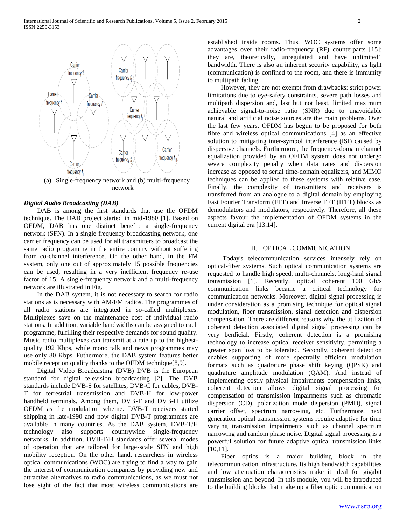

(a) Single-frequency network and (b) multi-frequency network

# *Digital Audio Broadcasting (DAB)*

 DAB is among the first standards that use the OFDM technique. The DAB project started in mid-1980 [1]. Based on OFDM, DAB has one distinct benefit: a single-frequency network (SFN). In a single frequency broadcasting network, one carrier frequency can be used for all transmitters to broadcast the same radio programme in the entire country without suffering from co-channel interference. On the other hand, in the FM system, only one out of approximately 15 possible frequencies can be used, resulting in a very inefficient frequency re-use factor of 15. A single-frequency network and a multi-frequency network are illustrated in Fig.

 In the DAB system, it is not necessary to search for radio stations as is necessary with AM/FM radios. The programmes of all radio stations are integrated in so-called multiplexes. Multiplexes save on the maintenance cost of individual radio stations. In addition, variable bandwidths can be assigned to each programme, fulfilling their respective demands for sound quality. Music radio multiplexes can transmit at a rate up to the highestquality 192 Kbps, while mono talk and news programmes may use only 80 Kbps. Futhermore, the DAB system features better mobile reception quality thanks to the OFDM technique[8,9].

 Digital Video Broadcasting (DVB) DVB is the European standard for digital television broadcasting [2]. The DVB standards include DVB-S for satellites, DVB-C for cables, DVB-T for terrestrial transmission and DVB-H for low-power handheld terminals. Among them, DVB-T and DVB-H utilize OFDM as the modulation scheme. DVB-T receivers started shipping in late-1990 and now digital DVB-T programmes are available in many countries. As the DAB system, DVB-T/H technology also supports countrywide single-frequency networks. In addition, DVB-T/H standards offer several modes of operation that are tailored for large-scale SFN and high mobility reception. On the other hand, researchers in wireless optical communications (WOC) are trying to find a way to gain the interest of communication companies by providing new and attractive alternatives to radio communications, as we must not lose sight of the fact that most wireless communications are

established inside rooms. Thus, WOC systems offer some advantages over their radio-frequency (RF) counterparts [15]: they are, theoretically, unregulated and have unlimited1 bandwidth. There is also an inherent security capability, as light (communication) is confined to the room, and there is immunity to multipath fading.

 However, they are not exempt from drawbacks: strict power limitations due to eye-safety constraints, severe path losses and multipath dispersion and, last but not least, limited maximum achievable signal-to-noise ratio (SNR) due to unavoidable natural and artificial noise sources are the main problems. Over the last few years, OFDM has begun to be proposed for both fibre and wireless optical communications [4] as an effective solution to mitigating inter-symbol interference (ISI) caused by dispersive channels. Furthermore, the frequency-domain channel equalization provided by an OFDM system does not undergo severe complexity penalty when data rates and dispersion increase as opposed to serial time-domain equalizers, and MIMO techniques can be applied to these systems with relative ease. Finally, the complexity of transmitters and receivers is transferred from an analogue to a digital domain by employing Fast Fourier Transform (FFT) and Inverse FFT (IFFT) blocks as demodulators and modulators, respectively. Therefore, all these aspects favour the implementation of OFDM systems in the current digital era [13,14].

## II. OPTICAL COMMUNICATION

 Today's telecommunication services intensely rely on optical-fiber systems. Such optical communication systems are requested to handle high speed, multi-channels, long-haul signal transmission [1]. Recently, optical coherent 100 Gb/s communication links became a critical technology for communication networks. Moreover, digital signal processing is under consideration as a promising technique for optical signal modulation, fiber transmission, signal detection and dispersion compensation. There are different reasons why the utilization of coherent detection associated digital signal processing can be very benficial. Firstly, coherent detection is a promising technology to increase optical receiver sensitivity, permitting a greater span loss to be tolerated. Secondly, coherent detection enables supporting of more spectrally efficient modulation formats such as quadrature phase shift keying (QPSK) and quadrature amplitude modulation (QAM). And instead of implementing costly physical impairments compensation links, coherent detection allows digital signal processing for compensation of transmission impairments such as chromatic dispersion (CD), polarization mode dispersion (PMD), signal carrier offset, spectrum narrowing, etc. Furthermore, next generation optical transmission systems require adaptive for time varying transmission impairments such as channel spectrum narrowing and random phase noise. Digital signal processing is a powerful solution for future adaptive optical transmission links [10,11].

 Fiber optics is a major building block in the telecommunication infrastructure. Its high bandwidth capabilities and low attenuation characteristics make it ideal for gigabit transmission and beyond. In this module, you will be introduced to the building blocks that make up a fiber optic communication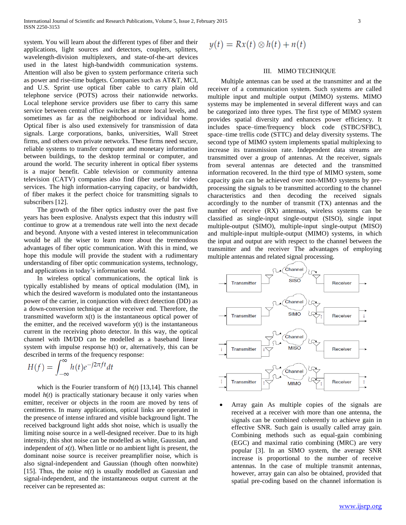system. You will learn about the different types of fiber and their applications, light sources and detectors, couplers, splitters, wavelength-division multiplexers, and state-of-the-art devices used in the latest high-bandwidth communication systems. Attention will also be given to system performance criteria such as power and rise-time budgets. Companies such as AT&T, MCI, and U.S. Sprint use optical fiber cable to carry plain old telephone service (POTS) across their nationwide networks. Local telephone service providers use fiber to carry this same service between central office switches at more local levels, and sometimes as far as the neighborhood or individual home. Optical fiber is also used extensively for transmission of data signals. Large corporations, banks, universities, Wall Street firms, and others own private networks. These firms need secure, reliable systems to transfer computer and monetary information between buildings, to the desktop terminal or computer, and around the world. The security inherent in optical fiber systems is a major benefit. Cable television or community antenna television (CATV) companies also find fiber useful for video services. The high information-carrying capacity, or bandwidth, of fiber makes it the perfect choice for transmitting signals to subscribers [12].

 The growth of the fiber optics industry over the past five years has been explosive. Analysts expect that this industry will continue to grow at a tremendous rate well into the next decade and beyond. Anyone with a vested interest in telecommunication would be all the wiser to learn more about the tremendous advantages of fiber optic communication. With this in mind, we hope this module will provide the student with a rudimentary understanding of fiber optic communication systems, technology, and applications in today's information world.

 In wireless optical communications, the optical link is typically established by means of optical modulation (IM), in which the desired waveform is modulated onto the instantaneous power of the carrier, in conjunction with direct detection (DD) as a down-conversion technique at the receiver end. Therefore, the transmitted waveform x(t) is the instantaneous optical power of the emitter, and the received waveform  $y(t)$  is the instantaneous current in the receiving photo detector. In this way, the optical channel with IM/DD can be modelled as a baseband linear system with impulse response h(t) or, alternatively, this can be described in terms of the frequency response:

$$
H(f) = \int_{-\infty}^{\infty} h(t)e^{-j2\pi ft}dt
$$

 which is the Fourier transform of *h*(*t*) [13,14]. This channel model  $h(t)$  is practically stationary because it only varies when emitter, receiver or objects in the room are moved by tens of centimetres. In many applications, optical links are operated in the presence of intense infrared and visible background light. The received background light adds shot noise, which is usually the limiting noise source in a well-designed receiver. Due to its high intensity, this shot noise can be modelled as white, Gaussian, and independent of  $x(t)$ . When little or no ambient light is present, the dominant noise source is receiver preamplifier noise, which is also signal-independent and Gaussian (though often nonwhite) [15]. Thus, the noise  $n(t)$  is usually modelled as Gaussian and signal-independent, and the instantaneous output current at the receiver can be represented as:

$$
y(t) = Rx(t) \otimes h(t) + n(t)
$$

## III. MIMO TECHNIQUE

 Multiple antennas can be used at the transmitter and at the receiver of a communication system. Such systems are called multiple input and multiple output (MIMO) systems. MIMO systems may be implemented in several different ways and can be categorized into three types. The first type of MIMO system provides spatial diversity and enhances power efficiency. It includes space–time/frequency block code (STBC/SFBC), space–time trellis code (STTC) and delay diversity systems. The second type of MIMO system implements spatial multiplexing to increase its transmission rate. Independent data streams are transmitted over a group of antennas. At the receiver, signals from several antennas are detected and the transmitted information recovered. In the third type of MIMO system, some capacity gain can be achieved over non-MIMO systems by preprocessing the signals to be transmitted according to the channel characteristics and then decoding the received signals accordingly to the number of transmit (TX) antennas and the number of receive (RX) antennas, wireless systems can be classified as single-input single-output (SISO), single input multiple-output (SIMO), multiple-input single-output (MISO) and multiple-input multiple-output (MIMO) systems, in which the input and output are with respect to the channel between the transmitter and the receiver The advantages of employing multiple antennas and related signal processing.



 Array gain As multiple copies of the signals are received at a receiver with more than one antenna, the signals can be combined coherently to achieve gain in effective SNR. Such gain is usually called array gain. Combining methods such as equal-gain combining (EGC) and maximal ratio combining (MRC) are very popular [3]. In an SIMO system, the average SNR increase is proportional to the number of receive antennas. In the case of multiple transmit antennas, however, array gain can also be obtained, provided that spatial pre-coding based on the channel information is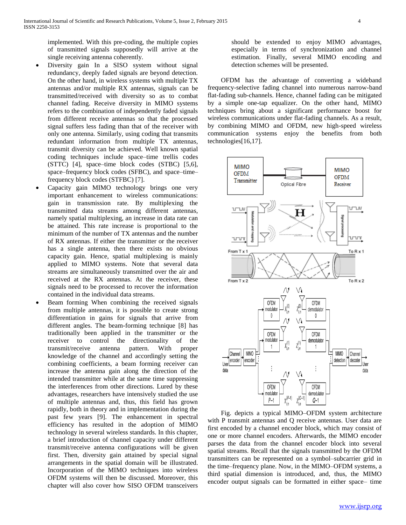implemented. With this pre-coding, the multiple copies of transmitted signals supposedly will arrive at the single receiving antenna coherently.

- Diversity gain In a SISO system without signal redundancy, deeply faded signals are beyond detection. On the other hand, in wireless systems with multiple TX antennas and/or multiple RX antennas, signals can be transmitted/received with diversity so as to combat channel fading. Receive diversity in MIMO systems refers to the combination of independently faded signals from different receive antennas so that the processed signal suffers less fading than that of the receiver with only one antenna. Similarly, using coding that transmits redundant information from multiple TX antennas, transmit diversity can be achieved. Well known spatial coding techniques include space–time trellis codes (STTC) [4], space–time block codes (STBC) [5,6], space–frequency block codes (SFBC), and space–time– frequency block codes (STFBC) [7].
- Capacity gain MIMO technology brings one very important enhancement to wireless communications: gain in transmission rate. By multiplexing the transmitted data streams among different antennas, namely spatial multiplexing, an increase in data rate can be attained. This rate increase is proportional to the minimum of the number of TX antennas and the number of RX antennas. If either the transmitter or the receiver has a single antenna, then there exists no obvious capacity gain. Hence, spatial multiplexing is mainly applied to MIMO systems. Note that several data streams are simultaneously transmitted over the air and received at the RX antennas. At the receiver, these signals need to be processed to recover the information contained in the individual data streams.
- Beam forming When combining the received signals from multiple antennas, it is possible to create strong differentiation in gains for signals that arrive from different angles. The beam-forming technique [8] has traditionally been applied in the transmitter or the receiver to control the directionality of the transmit/receive antenna pattern. With proper knowledge of the channel and accordingly setting the combining coefficients, a beam forming receiver can increase the antenna gain along the direction of the intended transmitter while at the same time suppressing the interferences from other directions. Lured by these advantages, researchers have intensively studied the use of multiple antennas and, thus, this field has grown rapidly, both in theory and in implementation during the past few years [9]. The enhancement in spectral efficiency has resulted in the adoption of MIMO technology in several wireless standards. In this chapter, a brief introduction of channel capacity under different transmit/receive antenna configurations will be given first. Then, diversity gain attained by special signal arrangements in the spatial domain will be illustrated. Incorporation of the MIMO techniques into wireless OFDM systems will then be discussed. Moreover, this chapter will also cover how SISO OFDM transceivers

should be extended to enjoy MIMO advantages, especially in terms of synchronization and channel estimation. Finally, several MIMO encoding and detection schemes will be presented.

 OFDM has the advantage of converting a wideband frequency-selective fading channel into numerous narrow-band flat-fading sub-channels. Hence, channel fading can be mitigated by a simple one-tap equalizer. On the other hand, MIMO techniques bring about a significant performance boost for wireless communications under flat-fading channels. As a result, by combining MIMO and OFDM, new high-speed wireless communication systems enjoy the benefits from both technologies[16,17].



 Fig. depicts a typical MIMO–OFDM system architecture with P transmit antennas and Q receive antennas. User data are first encoded by a channel encoder block, which may consist of one or more channel encoders. Afterwards, the MIMO encoder parses the data from the channel encoder block into several spatial streams. Recall that the signals transmitted by the OFDM transmitters can be represented on a symbol–subcarrier grid in the time–frequency plane. Now, in the MIMO–OFDM systems, a third spatial dimension is introduced, and, thus, the MIMO encoder output signals can be formatted in either space– time